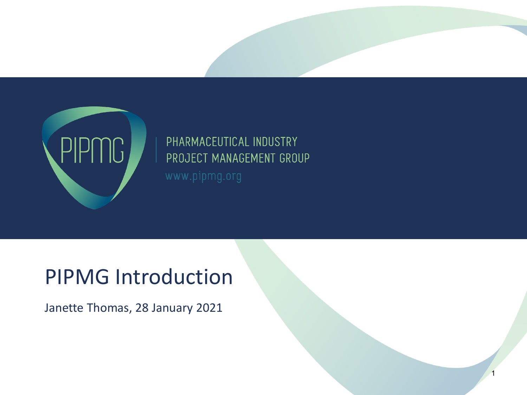

# PHARMACEUTICAL INDUSTRY PROJECT MANAGEMENT GROUP

1

## PIPMG Introduction

Janette Thomas, 28 January 2021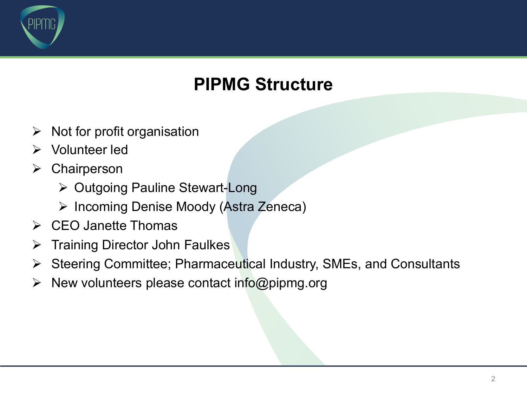

#### **PIPMG Structure**

- $\triangleright$  Not for profit organisation
- Ø Volunteer led
- $\triangleright$  Chairperson
	- Ø Outgoing Pauline Stewart-Long
	- Ø Incoming Denise Moody (Astra Zeneca)
- $\triangleright$  CEO Janette Thomas
- $\triangleright$  Training Director John Faulkes
- Ø Steering Committee; Pharmaceutical Industry, SMEs, and Consultants
- $\triangleright$  New volunteers please contact info@pipmg.org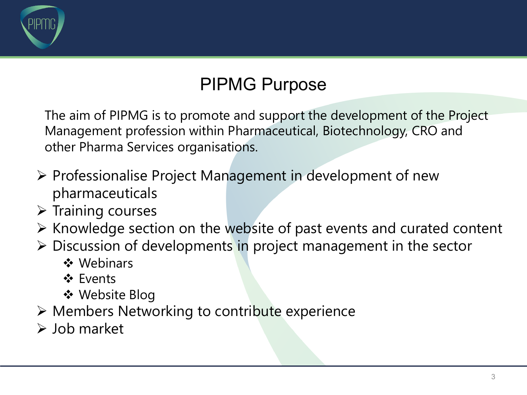

#### PIPMG Purpose

The aim of PIPMG is to promote and support the development of the Project Management profession within Pharmaceutical, Biotechnology, CRO and other Pharma Services organisations.

- $\triangleright$  Professionalise Project Management in development of new pharmaceuticals
- $\triangleright$  Training courses
- $\triangleright$  Knowledge section on the website of past events and curated content
- $\triangleright$  Discussion of developments in project management in the sector
	- ❖ Webinars
	- **V** Events
	- ❖ Website Blog
- Ø Members Networking to contribute experience
- $\triangleright$  Job market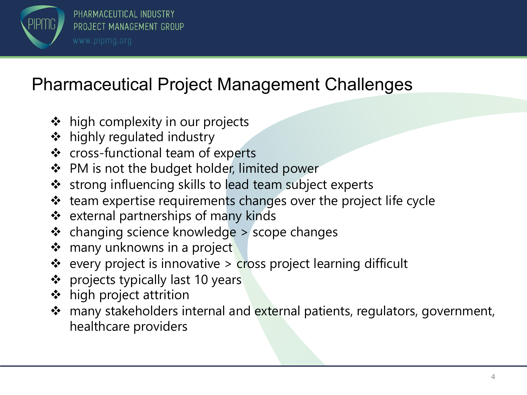

#### Pharmaceutical Project Management Challenges

- $\triangleleft$  high complexity in our projects
- **❖** highly regulated industry
- ❖ cross-functional team of experts
- ❖ PM is not the budget holder, limited power
- ❖ strong influencing skills to lead team subject experts
- ❖ team expertise requirements changes over the project life cycle
- $\div$  external partnerships of many kinds
- $\triangleleft$  changing science knowledge > scope changes
- ❖ many unknowns in a project
- ❖ every project is innovative > cross project learning difficult
- ❖ projects typically last 10 years
- $\div$  high project attrition
- \* many stakeholders internal and external patients, regulators, government, healthcare providers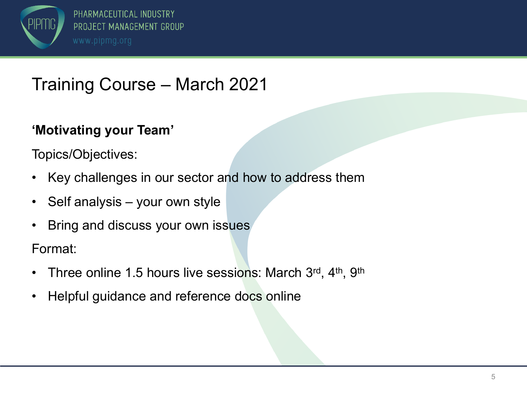

## Training Course – March 2021

#### **'Motivating your Team'**

Topics/Objectives:

- Key challenges in our sector and how to address them
- Self analysis your own style
- Bring and discuss your own issues

Format:

- Three online 1.5 hours live sessions: March 3rd, 4th, 9th
- Helpful guidance and reference docs online